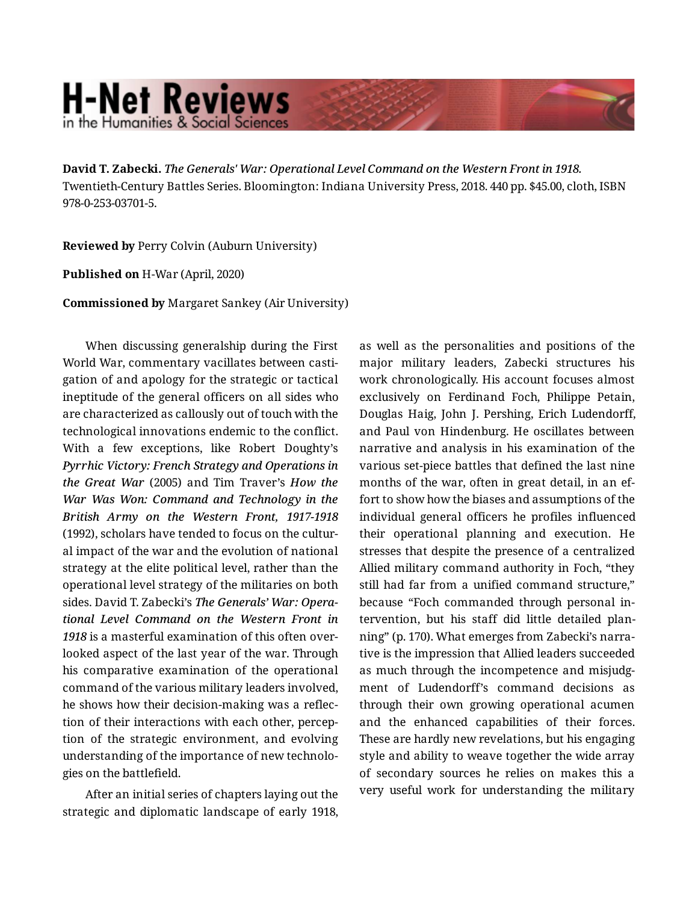## **H-Net Reviews** in the Humanities & Social Science

**David T. Zabecki.** *The Generals' War: Operational Level Command on the Western Front in 1918.*  Twentieth-Century Battles Series. Bloomington: Indiana University Press, 2018. 440 pp. \$45.00, cloth, ISBN 978-0-253-03701-5.

**Reviewed by** Perry Colvin (Auburn University)

**Published on** H-War (April, 2020)

**Commissioned by** Margaret Sankey (Air University)

When discussing generalship during the First World War, commentary vacillates between casti‐ gation of and apology for the strategic or tactical ineptitude of the general officers on all sides who are characterized as callously out of touch with the technological innovations endemic to the conflict. With a few exceptions, like Robert Doughty's *Pyrrhic Victory: French Strategy and Operations in the Great War* (2005) and Tim Traver's *How the War Was Won: Command and Technology in the British Army on the Western Front, 1917-1918* (1992), scholars have tended to focus on the cultur‐ al impact of the war and the evolution of national strategy at the elite political level, rather than the operational level strategy of the militaries on both sides. David T. Zabecki's *The Generals' War: Opera‐ tional Level Command on the Western Front in 1918* is a masterful examination of this often over‐ looked aspect of the last year of the war. Through his comparative examination of the operational command of the various military leaders involved, he shows how their decision-making was a reflec‐ tion of their interactions with each other, percep‐ tion of the strategic environment, and evolving understanding of the importance of new technolo‐ gies on the battlefield.

After an initial series of chapters laying out the strategic and diplomatic landscape of early 1918,

as well as the personalities and positions of the major military leaders, Zabecki structures his work chronologically. His account focuses almost exclusively on Ferdinand Foch, Philippe Petain, Douglas Haig, John J. Pershing, Erich Ludendorff, and Paul von Hindenburg. He oscillates between narrative and analysis in his examination of the various set-piece battles that defined the last nine months of the war, often in great detail, in an ef‐ fort to show how the biases and assumptions of the individual general officers he profiles influenced their operational planning and execution. He stresses that despite the presence of a centralized Allied military command authority in Foch, "they still had far from a unified command structure," because "Foch commanded through personal in‐ tervention, but his staff did little detailed plan‐ ning" (p. 170). What emerges from Zabecki's narra‐ tive is the impression that Allied leaders succeeded as much through the incompetence and misjudg‐ ment of Ludendorff's command decisions as through their own growing operational acumen and the enhanced capabilities of their forces. These are hardly new revelations, but his engaging style and ability to weave together the wide array of secondary sources he relies on makes this a very useful work for understanding the military